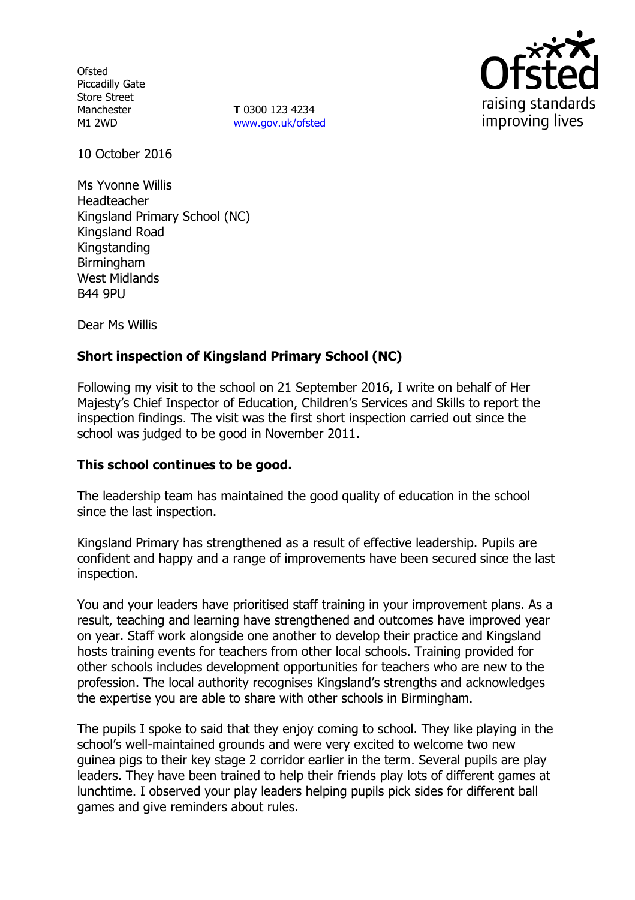**Ofsted** Piccadilly Gate Store Street Manchester M1 2WD

**T** 0300 123 4234 www.gov.uk/ofsted



10 October 2016

Ms Yvonne Willis Headteacher Kingsland Primary School (NC) Kingsland Road Kingstanding Birmingham West Midlands **B44 9PU** 

Dear Ms Willis

# **Short inspection of Kingsland Primary School (NC)**

Following my visit to the school on 21 September 2016, I write on behalf of Her Majesty's Chief Inspector of Education, Children's Services and Skills to report the inspection findings. The visit was the first short inspection carried out since the school was judged to be good in November 2011.

# **This school continues to be good.**

The leadership team has maintained the good quality of education in the school since the last inspection.

Kingsland Primary has strengthened as a result of effective leadership. Pupils are confident and happy and a range of improvements have been secured since the last inspection.

You and your leaders have prioritised staff training in your improvement plans. As a result, teaching and learning have strengthened and outcomes have improved year on year. Staff work alongside one another to develop their practice and Kingsland hosts training events for teachers from other local schools. Training provided for other schools includes development opportunities for teachers who are new to the profession. The local authority recognises Kingsland's strengths and acknowledges the expertise you are able to share with other schools in Birmingham.

The pupils I spoke to said that they enjoy coming to school. They like playing in the school's well-maintained grounds and were very excited to welcome two new guinea pigs to their key stage 2 corridor earlier in the term. Several pupils are play leaders. They have been trained to help their friends play lots of different games at lunchtime. I observed your play leaders helping pupils pick sides for different ball games and give reminders about rules.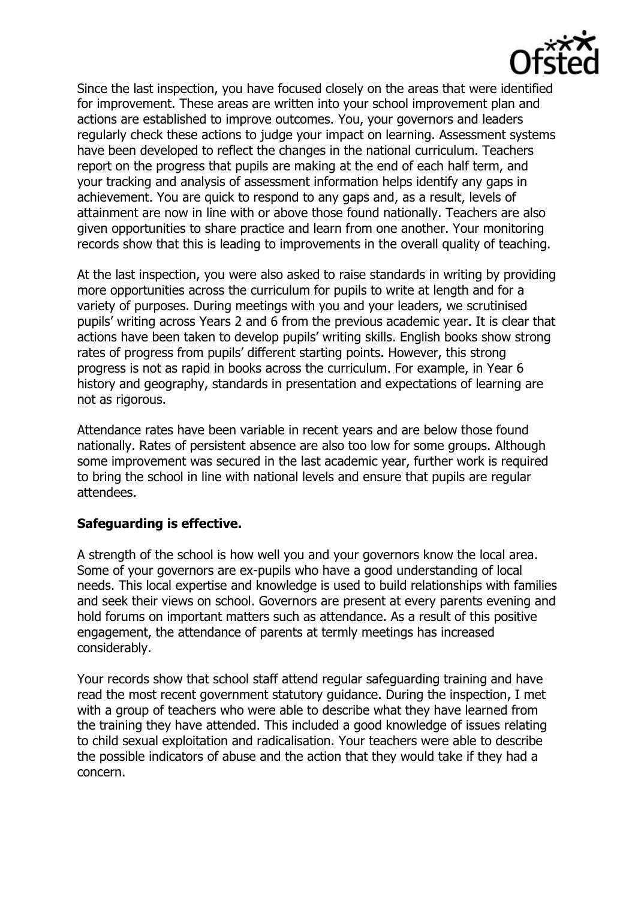

Since the last inspection, you have focused closely on the areas that were identified for improvement. These areas are written into your school improvement plan and actions are established to improve outcomes. You, your governors and leaders regularly check these actions to judge your impact on learning. Assessment systems have been developed to reflect the changes in the national curriculum. Teachers report on the progress that pupils are making at the end of each half term, and your tracking and analysis of assessment information helps identify any gaps in achievement. You are quick to respond to any gaps and, as a result, levels of attainment are now in line with or above those found nationally. Teachers are also given opportunities to share practice and learn from one another. Your monitoring records show that this is leading to improvements in the overall quality of teaching.

At the last inspection, you were also asked to raise standards in writing by providing more opportunities across the curriculum for pupils to write at length and for a variety of purposes. During meetings with you and your leaders, we scrutinised pupils' writing across Years 2 and 6 from the previous academic year. It is clear that actions have been taken to develop pupils' writing skills. English books show strong rates of progress from pupils' different starting points. However, this strong progress is not as rapid in books across the curriculum. For example, in Year 6 history and geography, standards in presentation and expectations of learning are not as rigorous.

Attendance rates have been variable in recent years and are below those found nationally. Rates of persistent absence are also too low for some groups. Although some improvement was secured in the last academic year, further work is required to bring the school in line with national levels and ensure that pupils are regular attendees.

# **Safeguarding is effective.**

A strength of the school is how well you and your governors know the local area. Some of your governors are ex-pupils who have a good understanding of local needs. This local expertise and knowledge is used to build relationships with families and seek their views on school. Governors are present at every parents evening and hold forums on important matters such as attendance. As a result of this positive engagement, the attendance of parents at termly meetings has increased considerably.

Your records show that school staff attend regular safeguarding training and have read the most recent government statutory guidance. During the inspection, I met with a group of teachers who were able to describe what they have learned from the training they have attended. This included a good knowledge of issues relating to child sexual exploitation and radicalisation. Your teachers were able to describe the possible indicators of abuse and the action that they would take if they had a concern.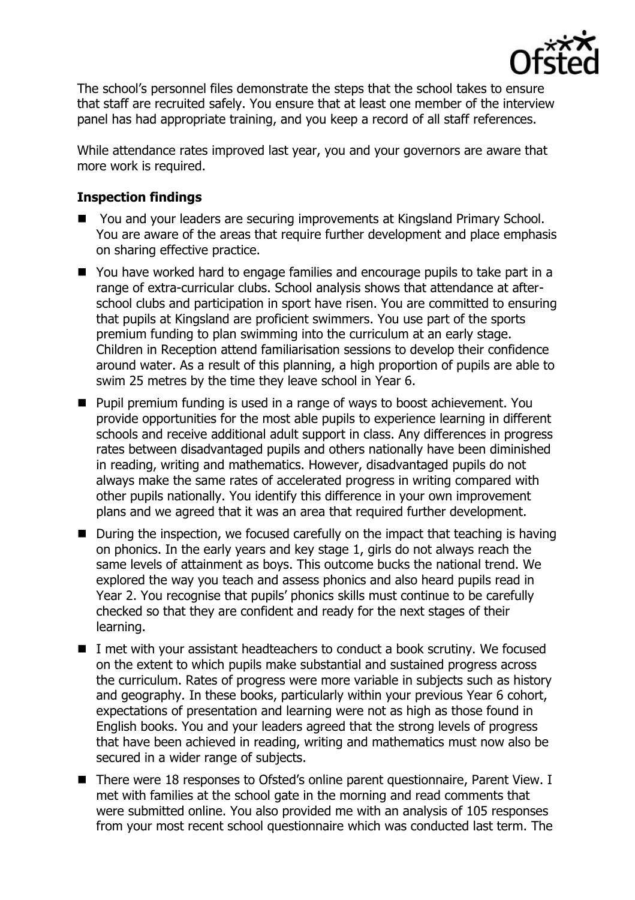

The school's personnel files demonstrate the steps that the school takes to ensure that staff are recruited safely. You ensure that at least one member of the interview panel has had appropriate training, and you keep a record of all staff references.

While attendance rates improved last year, you and your governors are aware that more work is required.

# **Inspection findings**

- You and your leaders are securing improvements at Kingsland Primary School. You are aware of the areas that require further development and place emphasis on sharing effective practice.
- You have worked hard to engage families and encourage pupils to take part in a range of extra-curricular clubs. School analysis shows that attendance at afterschool clubs and participation in sport have risen. You are committed to ensuring that pupils at Kingsland are proficient swimmers. You use part of the sports premium funding to plan swimming into the curriculum at an early stage. Children in Reception attend familiarisation sessions to develop their confidence around water. As a result of this planning, a high proportion of pupils are able to swim 25 metres by the time they leave school in Year 6.
- **Pupil premium funding is used in a range of ways to boost achievement. You** provide opportunities for the most able pupils to experience learning in different schools and receive additional adult support in class. Any differences in progress rates between disadvantaged pupils and others nationally have been diminished in reading, writing and mathematics. However, disadvantaged pupils do not always make the same rates of accelerated progress in writing compared with other pupils nationally. You identify this difference in your own improvement plans and we agreed that it was an area that required further development.
- During the inspection, we focused carefully on the impact that teaching is having on phonics. In the early years and key stage 1, girls do not always reach the same levels of attainment as boys. This outcome bucks the national trend. We explored the way you teach and assess phonics and also heard pupils read in Year 2. You recognise that pupils' phonics skills must continue to be carefully checked so that they are confident and ready for the next stages of their learning.
- I met with your assistant headteachers to conduct a book scrutiny. We focused on the extent to which pupils make substantial and sustained progress across the curriculum. Rates of progress were more variable in subjects such as history and geography. In these books, particularly within your previous Year 6 cohort, expectations of presentation and learning were not as high as those found in English books. You and your leaders agreed that the strong levels of progress that have been achieved in reading, writing and mathematics must now also be secured in a wider range of subjects.
- There were 18 responses to Ofsted's online parent questionnaire, Parent View. I met with families at the school gate in the morning and read comments that were submitted online. You also provided me with an analysis of 105 responses from your most recent school questionnaire which was conducted last term. The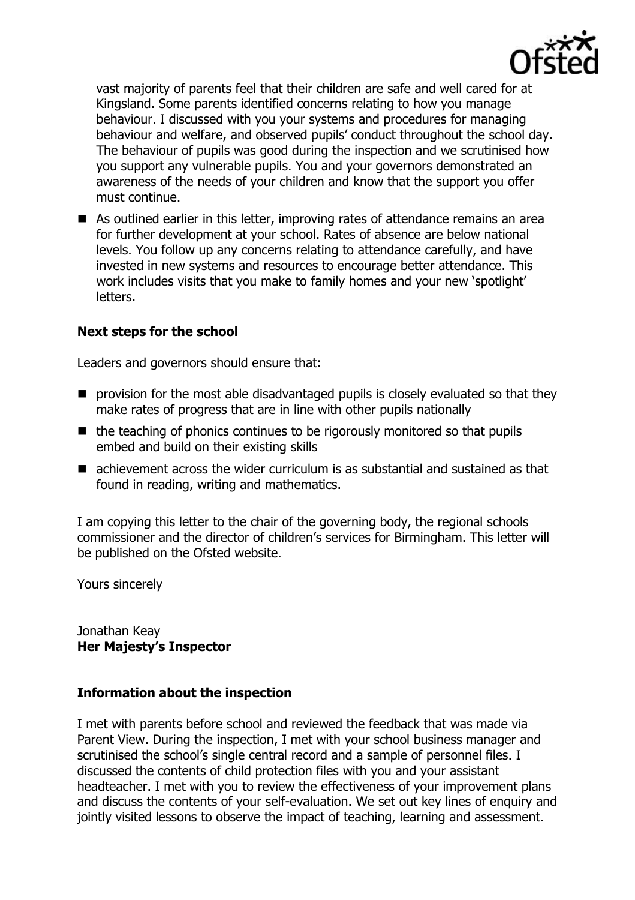

vast majority of parents feel that their children are safe and well cared for at Kingsland. Some parents identified concerns relating to how you manage behaviour. I discussed with you your systems and procedures for managing behaviour and welfare, and observed pupils' conduct throughout the school day. The behaviour of pupils was good during the inspection and we scrutinised how you support any vulnerable pupils. You and your governors demonstrated an awareness of the needs of your children and know that the support you offer must continue.

■ As outlined earlier in this letter, improving rates of attendance remains an area for further development at your school. Rates of absence are below national levels. You follow up any concerns relating to attendance carefully, and have invested in new systems and resources to encourage better attendance. This work includes visits that you make to family homes and your new 'spotlight' letters.

# **Next steps for the school**

Leaders and governors should ensure that:

- $\blacksquare$  provision for the most able disadvantaged pupils is closely evaluated so that they make rates of progress that are in line with other pupils nationally
- $\blacksquare$  the teaching of phonics continues to be rigorously monitored so that pupils embed and build on their existing skills
- achievement across the wider curriculum is as substantial and sustained as that found in reading, writing and mathematics.

I am copying this letter to the chair of the governing body, the regional schools commissioner and the director of children's services for Birmingham. This letter will be published on the Ofsted website.

Yours sincerely

Jonathan Keay **Her Majesty's Inspector**

# **Information about the inspection**

I met with parents before school and reviewed the feedback that was made via Parent View. During the inspection, I met with your school business manager and scrutinised the school's single central record and a sample of personnel files. I discussed the contents of child protection files with you and your assistant headteacher. I met with you to review the effectiveness of your improvement plans and discuss the contents of your self-evaluation. We set out key lines of enquiry and jointly visited lessons to observe the impact of teaching, learning and assessment.